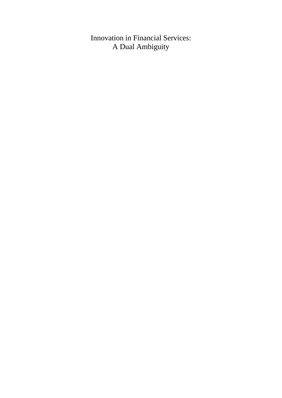## Innovation in Financial Services: A Dual Ambiguity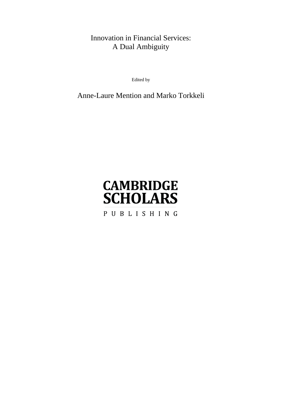## Innovation in Financial Services: A Dual Ambiguity

Edited by

## Anne-Laure Mention and Marko Torkkeli

# **CAMBRIDGE SCHOLARS** PUBLISHING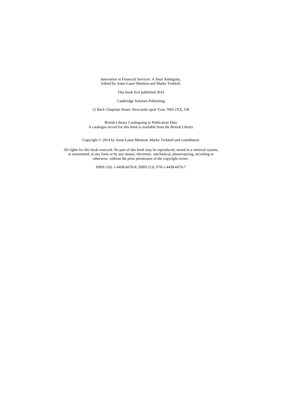Innovation in Financial Services: A Dual Ambiguity, Edited by Anne-Laure Mention and Marko Torkkeli

This book first published 2014

Cambridge Scholars Publishing

12 Back Chapman Street, Newcastle upon Tyne, NE6 2XX, UK

British Library Cataloguing in Publication Data A catalogue record for this book is available from the British Library

Copyright © 2014 by Anne-Laure Mention, Marko Torkkeli and contributors

All rights for this book reserved. No part of this book may be reproduced, stored in a retrieval system, or transmitted, in any form or by any means, electronic, mechanical, photocopying, recording or otherwise, without the prior permission of the copyright owner.

ISBN (10): 1-4438-6676-8, ISBN (13): 978-1-4438-6676-7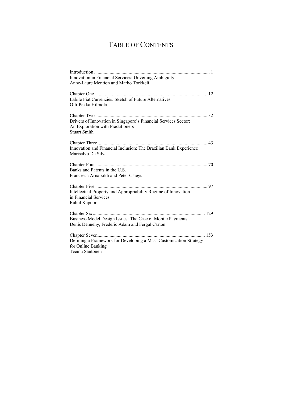## TABLE OF CONTENTS

| Innovation in Financial Services: Unveiling Ambiguity<br>Anne-Laure Mention and Marko Torkkeli |
|------------------------------------------------------------------------------------------------|
|                                                                                                |
|                                                                                                |
| Labile Fiat Currencies: Sketch of Future Alternatives                                          |
| Olli-Pekka Hilmola                                                                             |
|                                                                                                |
| Drivers of Innovation in Singapore's Financial Services Sector:                                |
| An Exploration with Practitioners                                                              |
| <b>Stuart Smith</b>                                                                            |
|                                                                                                |
| Innovation and Financial Inclusion: The Brazilian Bank Experience                              |
| Marisalvo Da Silva                                                                             |
|                                                                                                |
| Banks and Patents in the U.S.                                                                  |
| Francesca Arnaboldi and Peter Claeys                                                           |
|                                                                                                |
| Intellectual Property and Appropriability Regime of Innovation                                 |
| in Financial Services                                                                          |
| Rahul Kapoor                                                                                   |
|                                                                                                |
| Business Model Design Issues: The Case of Mobile Payments                                      |
| Denis Dennehy, Frederic Adam and Fergal Carton                                                 |
|                                                                                                |
| Defining a Framework for Developing a Mass Customization Strategy                              |
| for Online Banking                                                                             |
| Teemu Santonen                                                                                 |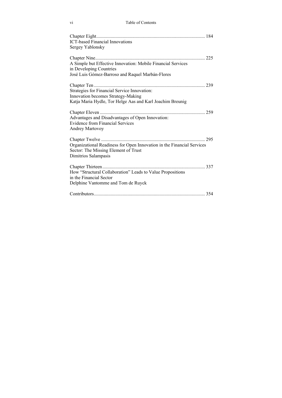| <b>ICT-based Financial Innovations</b><br>Sergey Yablonsky                                                                                      |  |
|-------------------------------------------------------------------------------------------------------------------------------------------------|--|
| A Simple but Effective Innovation: Mobile Financial Services<br>in Developing Countries<br>José Luis Gómez-Barroso and Raquel Marbán-Flores     |  |
| Strategies for Financial Service Innovation:<br>Innovation becomes Strategy-Making<br>Katja Maria Hydle, Tor Helge Aas and Karl Joachim Breunig |  |
| Advantages and Disadvantages of Open Innovation:<br>Evidence from Financial Services<br><b>Andrey Martovoy</b>                                  |  |
| Organizational Readiness for Open Innovation in the Financial Services<br>Sector: The Missing Element of Trust<br>Dimitrios Salampasis          |  |
| How "Structural Collaboration" Leads to Value Propositions<br>in the Financial Sector<br>Delphine Vantomme and Tom de Ruyck                     |  |
|                                                                                                                                                 |  |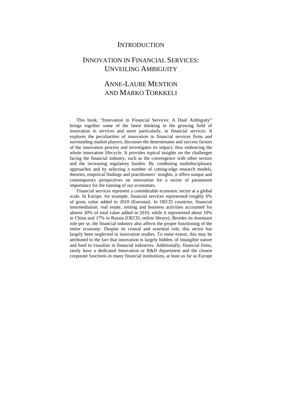### **INTRODUCTION**

## INNOVATION IN FINANCIAL SERVICES: UNVEILING AMBIGUITY

## ANNE-LAURE MENTION AND MARKO TORKKELI

This book, "Innovation in Financial Services: A Dual Ambiguity" brings together some of the latest thinking in the growing field of innovation in services and more particularly, in financial services. It explores the peculiarities of innovation in financial services firms and surrounding market players, discusses the determinants and success factors of the innovation process and investigates its impact; thus embracing the whole innovation lifecycle. It provides topical insights on the challenges facing the financial industry, such as the convergence with other sectors and the increasing regulatory burden. By combining multidisciplinary approaches and by selecting a number of cutting-edge research models, theories, empirical findings and practitioners' insights, it offers unique and contemporary perspectives on innovation for a sector of paramount importance for the running of our economies.

Financial services represent a considerable economic sector at a global scale. In Europe, for example, financial services represented roughly 6% of gross value added in 2010 (Eurostat). In OECD countries, financial intermediation, real estate, renting and business activities accounted for almost 30% of total value added in 2010, while it represented about 10% in China and 17% in Russia (OECD, online library). Besides its dominant role per se, the financial industry also affects the proper functioning of the entire economy. Despite its central and essential role, this sector has largely been neglected in innovation studies. To some extent, this may be attributed to the fact that innovation is largely hidden, of intangible nature and hard to visualize in financial industries. Additionally, financial firms, rarely have a dedicated Innovation or R&D department and the closest corporate functions in many financial institutions, at least as far as Europe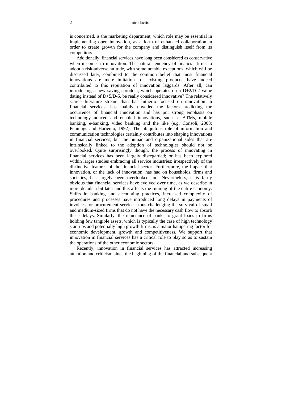is concerned, is the marketing department, which role may be essential in implementing open innovation, as a form of enhanced collaboration in order to create growth for the company and distinguish itself from its competitors.

Additionally, financial services have long been considered as conservative when it comes to innovation. The natural tendency of financial firms to adopt a risk-adverse attitude, with some notable exceptions, which will be discussed later, combined to the common belief that most financial innovations are mere imitations of existing products, have indeed contributed to this reputation of innovation laggards. After all, can introducing a new savings product, which operates on a D+2/D-2 value dating instead of  $D+5/D-5$ , be really considered innovative? The relatively scarce literature stream that, has hitherto focused on innovation in financial services, has mainly unveiled the factors predicting the occurrence of financial innovation and has put strong emphasis on technology-induced and enabled innovations, such as ATMs, mobile banking, e-banking, video banking and the like (e.g. Consoli, 2008; Pennings and Hariento, 1992). The ubiquitous role of information and communication technologies certainly contributes into shaping innovations in financial services, but the human and organizational sides that are intrinsically linked to the adoption of technologies should not be overlooked. Quite surprisingly though, the process of innovating in financial services has been largely disregarded; or has been explored within larger studies embracing all service industries; irrespectively of the distinctive features of the financial sector. Furthermore, the impact that innovation, or the lack of innovation, has had on households, firms and societies, has largely been overlooked too. Nevertheless, it is fairly obvious that financial services have evolved over time, as we describe in more details a bit later and this affects the running of the entire economy. Shifts in banking and accounting practices, increased complexity of procedures and processes have introduced long delays in payments of invoices for procurement services, thus challenging the survival of small and medium-sized firms that do not have the necessary cash flow to absorb these delays. Similarly, the reluctance of banks to grant loans to firms holding few tangible assets, which is typically the case of high technology start ups and potentially high growth firms, is a major hampering factor for economic development, growth and competitiveness. We support that innovation in financial services has a critical role to play so as to sustain the operations of the other economic sectors.

Recently, innovation in financial services has attracted increasing attention and criticism since the beginning of the financial and subsequent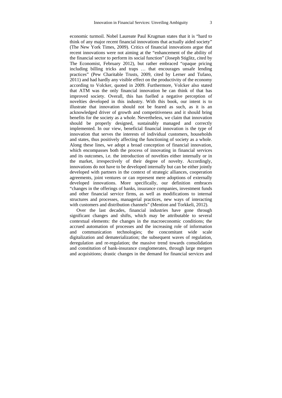economic turmoil. Nobel Laureate Paul Krugman states that it is "hard to think of any major recent financial innovations that actually aided society" (The New York Times, 2009). Critics of financial innovations argue that recent innovations were not aiming at the "enhancement of the ability of the financial sector to perform its social function" (Joseph Stiglitz, cited by The Economist, February 2012), but rather embraced "opaque pricing including billing tricks and traps … that encourages unsafe lending practices" (Pew Charitable Trusts, 2009, cited by Lerner and Tufano, 2011) and had hardly any visible effect on the productivity of the economy according to Volcker, quoted in 2009. Furthermore, Volcker also stated that ATM was the only financial innovation he can think of that has improved society. Overall, this has fuelled a negative perception of novelties developed in this industry. With this book, our intent is to illustrate that innovation should not be feared as such, as it is an acknowledged driver of growth and competitiveness and it should bring benefits for the society as a whole. Nevertheless, we claim that innovation should be properly designed, sustainably managed and correctly implemented. In our view, beneficial financial innovation is the type of innovation that serves the interests of individual customers, households and states, thus positively affecting the functioning of society as a whole. Along these lines, we adopt a broad conception of financial innovation, which encompasses both the process of innovating in financial services and its outcomes, i.e. the introduction of novelties either internally or in the market, irrespectively of their degree of novelty. Accordingly, innovations do not have to be developed internally but can be either jointly developed with partners in the context of strategic alliances, cooperation agreements, joint ventures or can represent mere adoptions of externally developed innovations. More specifically, our definition embraces "changes in the offerings of banks, insurance companies, investment funds and other financial service firms, as well as modifications to internal structures and processes, managerial practices, new ways of interacting with customers and distribution channels" (Mention and Torkkeli, 2012).

Over the last decades, financial industries have gone through significant changes and shifts, which may be attributable to several contextual elements: the changes in the macroeconomic conditions; the accrued automation of processes and the increasing role of information and communication technologies; the concomitant wide scale digitalization and dematerialization; the subsequent waves of regulation, deregulation and re-regulation; the massive trend towards consolidation and constitution of bank-insurance conglomerates, through large mergers and acquisitions; drastic changes in the demand for financial services and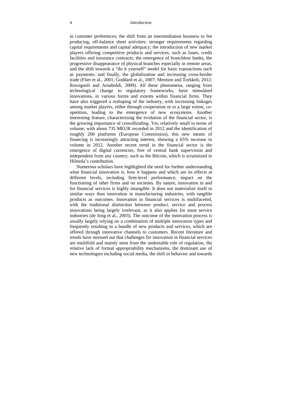#### 4 Introduction

in customer preferences; the shift from an intermediation business to fee producing, off-balance sheet activities; stronger requirements regarding capital requirements and capital adequacy; the introduction of new market players offering competitive products and services, such as loans, credit facilities and insurance contracts; the emergence of branchless banks, the progressive disappearance of physical branches especially in remote areas, and the shift towards a "do it yourself" model for basic transactions such as payments; and finally, the globalization and increasing cross-border trade (Flier et al., 2001; Goddard et al., 2007; Mention and Torkkeli, 2012; Rossignoli and Arnaboldi, 2009). All these phenomena, ranging from technological change to regulatory frameworks, have stimulated innovations, in various forms and extents within financial firms. They have also triggered a reshaping of the industry, with increasing linkages among market players, either through cooperation or to a large extent, coopetition, leading to the emergence of new ecosystems. Another interesting feature, characterizing the evolution of the financial sector, is the growing importance of crowdfunding. Yet, relatively small in terms of volume, with about 735 MEUR recorded in 2012 and the identification of roughly 200 platforms (European Commission), this new means of financing is increasingly attracting interest, showing a 65% increase in volume in 2012. Another recent trend in the financial sector is the emergence of digital currencies, free of central bank supervision and independent from any country, such as the Bitcoin, which is scrutinized in Hilmola's contribution.

Numerous scholars have highlighted the need for further understanding what financial innovation is, how it happens and which are its effects at different levels, including firm-level performance, impact on the functioning of other firms and on societies. By nature, innovation in and for financial services is highly intangible. It does not materialize itself in similar ways than innovation in manufacturing industries, with tangible products as outcomes. Innovation in financial services is multifaceted, with the traditional distinction between product, service and process innovations being largely irrelevant, as it also applies for most service industries (de Jong et al., 2003). The outcome of the innovation process is usually largely relying on a combination of multiple innovation types and frequently resulting in a bundle of new products and services, which are offered through innovative channels to customers. Recent literature and trends have stressed out that challenges for innovation in financial services are multifold and mainly stem from the undeniable role of regulation, the relative lack of formal appropriability mechanisms, the dominant use of new technologies including social media, the shift in behavior and towards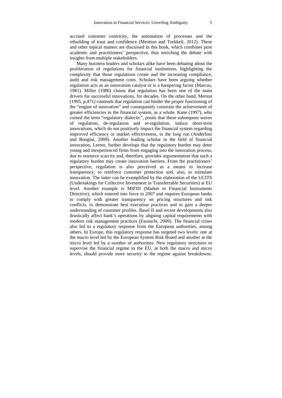accrued customer centricity, the automation of processes and the rebuilding of trust and confidence (Mention and Torkkeli, 2012). These and other topical matters are discussed in this book, which combines pure academic and practitioners' perspective, thus enriching the debate with insights from multiple stakeholders.

Many business leaders and scholars alike have been debating about the proliferation of regulations for financial institutions, highlighting the complexity that those regulations create and the increasing compliance, audit and risk management costs. Scholars have been arguing whether regulation acts as an innovation catalyst or is a hampering factor (Marcus, 1981). Miller (1986) claims that regulation has been one of the main drivers for successful innovations, for decades. On the other hand, Merton (1995, p.471) contends that regulation can hinder the proper functioning of the "engine of innovation" and consequently constrain the achievement of greater efficiencies in the financial system, as a whole. Kane (1997), who coined the term "regulatory dialectic", posits that these subsequent waves of regulation, de-regulation and re-regulation, induce short-term innovations, which do not positively impact the financial system regarding improved efficiency or market effectiveness, in the long run (Anderloni and Bongini, 2009). Another leading scholar in the field of financial innovation, Lerner, further develops that the regulatory burden may deter young and inexperienced firms from engaging into the innovation process, due to resource scarcity and, therefore, provides argumentation that such a regulatory burden may create innovation barriers. From the practitioners' perspective, regulation is also perceived as a means to increase transparency, to reinforce customer protection and, also, to stimulate innovation. The latter can be exemplified by the elaboration of the UCITS (Undertakings for Collective Investment in Transferrable Securities) at EU level. Another example is MIFID (Market in Financial Instruments Directive), which entered into force in 2007 and requires European banks to comply with greater transparency on pricing structures and risk conflicts, to demonstrate best execution practices and to gain a deeper understanding of customer profiles. Basel II and recent developments also drastically affect bank's operations by aligning capital requirements with modern risk management practices (Fasnacht, 2009). The financial crises also led to a regulatory response from the European authorities, among others. In Europe, this regulatory response has targeted two levels: one at the macro level led by the European System Risk Board and another at the micro level led by a number of authorities. New regulatory structures to supervise the financial regime in the EU, at both the macro and micro levels, should provide more security to the regime against breakdowns.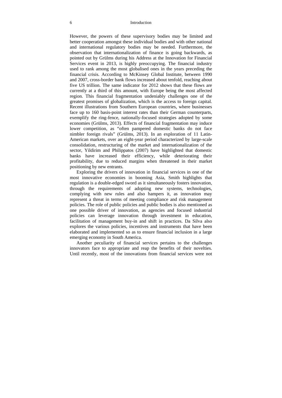#### 6 Introduction

However, the powers of these supervisory bodies may be limited and better cooperation amongst these individual bodies and with other national and international regulatory bodies may be needed. Furthermore, the observation that internationalization of finance is going backwards, as pointed out by Grülms during his Address at the Innovation for Financial Services event in 2013, is highly preoccupying. The financial industry used to rank among the most globalised ones in the years preceding the financial crisis. According to McKinsey Global Institute, between 1990 and 2007, cross-border bank flows increased about tenfold, reaching about five US trillion. The same indicator for 2012 shows that these flows are currently at a third of this amount, with Europe being the most affected region. This financial fragmentation undeniably challenges one of the greatest promises of globalization, which is the access to foreign capital. Recent illustrations from Southern European countries, where businesses face up to 160 basis-point interest rates than their German counterparts, exemplify the ring-fence, nationally-focused strategies adopted by some economies (Grülms, 2013). Effects of financial fragmentation may induce lower competition, as "often pampered domestic banks do not face nimbler foreign rivals" (Grülms, 2013). In an exploration of 11 Latin-American markets, over an eight-year period characterized by large-scale consolidation, restructuring of the market and internationalization of the sector, Yildirim and Philippatos (2007) have highlighted that domestic banks have increased their efficiency, while deteriorating their profitability, due to reduced margins when threatened in their market positioning by new entrants.

Exploring the drivers of innovation in financial services in one of the most innovative economies in booming Asia, Smith highlights that regulation is a double-edged sword as it simultaneously fosters innovation, through the requirements of adopting new systems, technologies, complying with new rules and also hampers it, as innovation may represent a threat in terms of meeting compliance and risk management policies. The role of public policies and public bodies is also mentioned as one possible driver of innovation, as agencies and focused industrial policies can leverage innovation through investment in education, facilitation of management buy-in and shift in practices. Da Silva also explores the various policies, incentives and instruments that have been elaborated and implemented so as to ensure financial inclusion in a large emerging economy in South America.

Another peculiarity of financial services pertains to the challenges innovators face to appropriate and reap the benefits of their novelties. Until recently, most of the innovations from financial services were not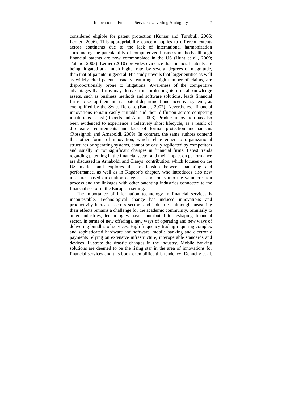considered eligible for patent protection (Kumar and Turnbull, 2006; Lerner, 2006). This appropriability concern applies to different extents across continents due to the lack of international harmonization surrounding the patentability of computerized business methods although financial patents are now commonplace in the US (Hunt et al., 2009; Tufano, 2003). Lerner (2010) provides evidence that financial patents are being litigated at a much higher rate, by several degrees of magnitude, than that of patents in general. His study unveils that larger entities as well as widely cited patents, usually featuring a high number of claims, are disproportionally prone to litigations. Awareness of the competitive advantages that firms may derive from protecting its critical knowledge assets, such as business methods and software solutions, leads financial firms to set up their internal patent department and incentive systems, as exemplified by the Swiss Re case (Bader, 2007). Nevertheless, financial innovations remain easily imitable and their diffusion across competing institutions is fast (Roberts and Amit, 2003). Product innovation has also been evidenced to experience a relatively short lifecycle, as a result of disclosure requirements and lack of formal protection mechanisms (Rossignoli and Arnaboldi, 2009). In contrast, the same authors contend that other forms of innovation, which relate either to organizational structures or operating systems, cannot be easily replicated by competitors and usually mirror significant changes in financial firms. Latest trends regarding patenting in the financial sector and their impact on performance are discussed in Arnaboldi and Claeys' contribution, which focuses on the US market and explores the relationship between patenting and performance, as well as in Kapoor's chapter, who introduces also new measures based on citation categories and looks into the value-creation process and the linkages with other patenting industries connected to the financial sector in the European setting.

The importance of information technology in financial services is incontestable. Technological change has induced innovations and productivity increases across sectors and industries, although measuring their effects remains a challenge for the academic community. Similarly to other industries, technologies have contributed to reshaping financial sector, in terms of new offerings, new ways of operating and new ways of delivering bundles of services. High frequency trading requiring complex and sophisticated hardware and software, mobile banking and electronic payments relying on extensive infrastructure, interoperable standards and devices illustrate the drastic changes in the industry. Mobile banking solutions are deemed to be the rising star in the area of innovations for financial services and this book exemplifies this tendency. Dennehy et al.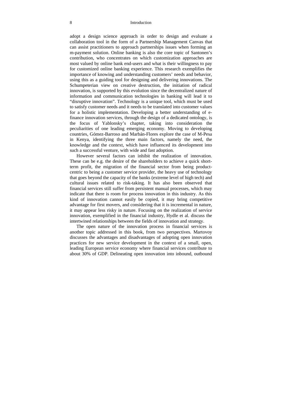#### 8 Introduction

adopt a design science approach in order to design and evaluate a collaboration tool in the form of a Partnership Management Canvas that can assist practitioners to approach partnerships issues when forming an m-payment solution. Online banking is also the core topic of Santonen's contribution, who concentrates on which customization approaches are most valued by online bank end-users and what is their willingness to pay for customized online banking experience. This research exemplifies the importance of knowing and understanding customers' needs and behavior, using this as a guiding tool for designing and delivering innovations. The Schumpeterian view on creative destruction, the initiation of radical innovation, is supported by this evolution since the decentralized nature of information and communication technologies in banking will lead it to "disruptive innovation". Technology is a unique tool, which must be used to satisfy customer needs and it needs to be translated into customer values for a holistic implementation. Developing a better understanding of efinance innovation services, through the design of a dedicated ontology, is the focus of Yablonsky's chapter, taking into consideration the peculiarities of one leading emerging economy. Moving to developing countries, Gómez-Barroso and Marbán-Flores explore the case of M-Pesa in Kenya, identifying the three main factors, namely the need, the knowledge and the context, which have influenced its development into such a successful venture, with wide and fast adoption.

However several factors can inhibit the realization of innovation. These can be e.g. the desire of the shareholders to achieve a quick shortterm profit, the migration of the financial sector from being productcentric to being a customer service provider, the heavy use of technology that goes beyond the capacity of the banks (extreme level of high tech) and cultural issues related to risk-taking. It has also been observed that financial services still suffer from persistent manual processes, which may indicate that there is room for process innovation in this industry. As this kind of innovation cannot easily be copied, it may bring competitive advantage for first movers, and considering that it is incremental in nature, it may appear less risky in nature. Focusing on the realization of service innovation, exemplified in the financial industry, Hydle et al. discuss the intertwined relationships between the fields of innovation and strategy.

The open nature of the innovation process in financial services is another topic addressed in this book, from two perspectives. Martovoy discusses the advantages and disadvantages of adopting open innovation practices for new service development in the context of a small, open, leading European service economy where financial services contribute to about 30% of GDP. Delineating open innovation into inbound, outbound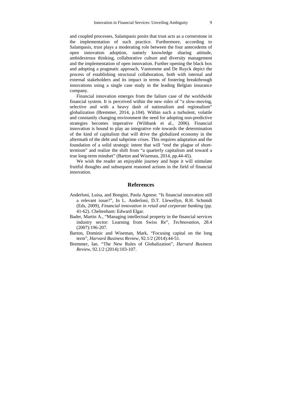and coupled processes, Salampasis posits that trust acts as a cornerstone in the implementation of such practice. Furthermore, according to Salampasis, trust plays a moderating role between the four antecedents of open innovation adoption, namely knowledge sharing attitude, ambidextrous thinking, collaborative culture and diversity management and the implementation of open innovation. Further opening the black box and adopting a pragmatic approach, Vantomme and De Ruyck depict the process of establishing structural collaboration, both with internal and external stakeholders and its impact in terms of fostering breakthrough innovations using a single case study in the leading Belgian insurance company.

Financial innovation emerges from the failure case of the worldwide financial system. It is perceived within the new rules of "a slow-moving, selective and with a heavy dash of nationalism and regionalism" globalization (Bremmer, 2014, p.104). Within such a turbulent, volatile and constantly changing environment the need for adopting non-predictive strategies becomes imperative (Wiltbank et al., 2006). Financial innovation is bound to play an integrative role towards the determination of the kind of capitalism that will drive the globalized economy in the aftermath of the debt and subprime crises. This requires adaptation and the foundation of a solid strategic intent that will "end the plague of shorttermism" and realize the shift from "a quarterly capitalism and toward a true long-term mindset" (Barton and Wiseman, 2014, pp.44-45).

We wish the reader an enjoyable journey and hope it will stimulate fruitful thoughts and subsequent reasoned actions in the field of financial innovation.

#### **References**

- Anderloni, Luisa, and Bongini, Paola Agnese. "Is financial innovation still a relevant issue?", In L. Anderloni, D.T. Llewellyn, R.H. Schmidt (Eds, 2009), *Financial innovation in retail and corporate banking* (pp. 41-62). Cheltenham: Edward Elgar.
- Bader, Martin A., "Managing intellectual property in the financial services industry sector: Learning from Swiss Re", *Technovation*, 28.4 (2007):196-207.
- Barton, Dominic and Wiseman, Mark, "Focusing capital on the long term", *Harvard Business Review,* 92.1/2 (2014):44-51.
- Bremmer, Ian. "The New Rules of Globalization", *Harvard Business Review*, 92.1/2 (2014):103-107.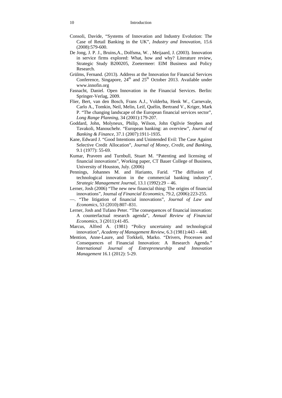- Consoli, Davide, "Systems of Innovation and Industry Evolution: The Case of Retail Banking in the UK"*, Industry and Innovation*, 15.6 (2008):579-600.
- De Jong, J. P. J., Bruins,A., Dolfsma, W. , Meijaard, J. (2003). Innovation in service firms explored: What, how and why? Literature review, Strategic Study B200205, Zoetermeer: EIM Business and Policy Research.
- Grülms, Fernand. (2013). Address at the Innovation for Financial Services Conference, Singapore,  $24<sup>th</sup>$  and  $25<sup>th</sup>$  October 2013. Available under www.innofin.org
- Fasnacht, Daniel. Open Innovation in the Financial Services. Berlin: Springer-Verlag, 2009.
- Flier, Bert, van den Bosch, Frans A.J., Volderba, Henk W., Carnevale, Carlo A., Tomkin, Neil, Melin, Leif, Quélin, Bertrand V., Kriger, Mark P. "The changing landscape of the European financial services sector", *Long Range Planning*, 34 (2001):179-207.
- Goddard, John, Molyneux, Philip, Wilson, John Ogilvie Stephen and Tavakoli, Manouchehr. "European banking: an overview"*, Journal of Banking & Finance*, 37.1 (2007):1911-1935.
- Kane, Edward J. "Good Intentions and Unintended Evil: The Case Against Selective Credit Allocation"*, Journal of Money, Credit, and Banking*, 9.1 (1977): 55-69.
- Kumar, Praveen and Turnbull, Stuart M. "Patenting and licensing of financial innovations", Working paper, CT Bauer College of Business, University of Houston, July. (2006)
- Pennings, Johannes M. and Harianto, Farid. "The diffusion of technological innovation in the commercial banking industry", *Strategic Management Journal*, 13.1 (1992):29 – 46.
- Lerner, Josh (2006) "The new new financial thing: The origins of financial innovations", Journal *of Financial Economics,* 79.2, (2006):223-255.
- —. "The litigation of financial innovations"*, Journal of Law and Economics*, 53 (2010):807–831.
- Lerner, Josh and Tufano Peter. "The consequences of financial innovation: A counterfactual research agenda", *Annual Review of Financial Economics*, 3 (2011):41-85.
- Marcus, Alfred A. (1981) "Policy uncertainty and technological innovation", *Academy of Management Review*, 6.3 (1981):443 – 448.
- Mention, Anne-Laure, and Torkkeli, Marko. "Drivers, Processes and Consequences of Financial Innovation: A Research Agenda." *International Journal of Entrepreneurship and Innovation Management* 16.1 (2012): 5-29.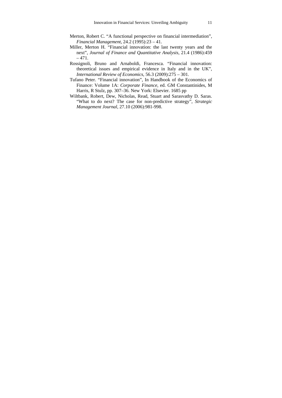- Merton, Robert C. "A functional perspective on financial intermediation", *Financial Management*, 24.2 (1995):23 – 41.
- Miller, Merton H. "Financial innovation: the last twenty years and the next", *Journal of Finance and Quantitative Analysis*, 21.4 (1986):459  $-471.$
- Rossignoli, Bruno and Arnaboldi, Francesca. "Financial innovation: theoretical issues and empirical evidence in Italy and in the UK", *International Review of Economics*, 56.3 (2009):275 – 301.
- Tufano Peter. "Financial innovation", In Handbook of the Economics of Finance: Volume 1A: *Corporate Finance*, ed. GM Constantinides, M Harris, R Stulz, pp. 307–36. New York: Elsevier. 1685 pp
- Wiltbank, Robert, Dew, Nicholas, Read, Stuart and Sarasvathy D. Saras. "What to do next? The case for non-predictive strategy", *Strategic Management Journal*, 27.10 (2006):981-998.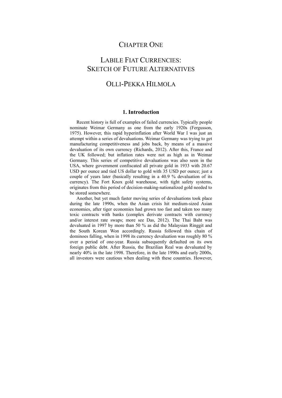### CHAPTER ONE

## LABILE FIAT CURRENCIES: SKETCH OF FUTURE ALTERNATIVES

### OLLI-PEKKA HILMOLA

#### **1. Introduction**

Recent history is full of examples of failed currencies. Typically people nominate Weimar Germany as one from the early 1920s (Fergusson, 1975). However, this rapid hyperinflation after World War I was just an attempt within a series of devaluations. Weimar Germany was trying to get manufacturing competitiveness and jobs back, by means of a massive devaluation of its own currency (Richards, 2012). After this, France and the UK followed; but inflation rates were not as high as in Weimar Germany. This series of competitive devaluations was also seen in the USA, where government confiscated all private gold in 1933 with 20.67 USD per ounce and tied US dollar to gold with 35 USD per ounce; just a couple of years later (basically resulting in a 40.9 % devaluation of its currency). The Fort Knox gold warehouse, with tight safety systems, originates from this period of decision-making-nationalized gold needed to be stored somewhere.

Another, but yet much faster moving series of devaluations took place during the late 1990s, when the Asian crisis hit medium-sized Asian economies, after tiger economies had grown too fast and taken too many toxic contracts with banks (complex derivate contracts with currency and/or interest rate swaps; more see Das, 2012). The Thai Baht was devaluated in 1997 by more than 50 % as did the Malaysian Ringgit and the South Korean Won accordingly. Russia followed this chain of dominoes falling, when in 1998 its currency devaluation was roughly 80 % over a period of one-year. Russia subsequently defaulted on its own foreign public debt. After Russia, the Brazilian Real was devaluated by nearly 40% in the late 1998. Therefore, in the late 1990s and early 2000s, all investors were cautious when dealing with these countries. However,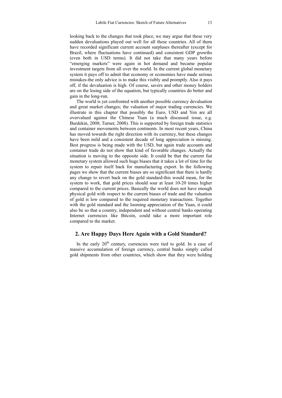looking back to the changes that took place, we may argue that these very sudden devaluations played out well for all these countries. All of them have recorded significant current account surpluses thereafter (except for Brazil, where fluctuations have continued) and consistent GDP growths (even both in USD terms). It did not take that many years before "emerging markets" were again in hot demand and became popular investment targets from all over the world. In the current global monetary system it pays off to admit that economy or economies have made serious mistakes-the only advice is to make this visibly and promptly. Also it pays off, if the devaluation is high. Of course, savers and other money holders are on the losing side of the equation, but typically countries do better and gain in the long-run.

The world is yet confronted with another possible currency devaluation and great market changes; the valuation of major trading currencies. We illustrate in this chapter that possibly the Euro, USD and Yen are all overvalued against the Chinese Yuan (a much discussed issue, e.g. Burdekin, 2008; Turner, 2008). This is supported by foreign trade statistics and container movements between continents. In most recent years, China has moved towards the right direction with its currency, but these changes have been mild and a consistent decade of long appreciation is missing. Best progress is being made with the USD, but again trade accounts and container trade do not show that kind of favorable changes. Actually the situation is moving to the opposite side. It could be that the current fiat monetary system allowed such huge biases that it takes a lot of time for the system to repair itself back for manufacturing export. In the following pages we show that the current biases are so significant that there is hardly any change to revert back on the gold standard-this would mean, for the system to work, that gold prices should soar at least 10-20 times higher compared to the current prices. Basically the world does not have enough physical gold with respect to the current biases of trade and the valuation of gold is low compared to the required monetary transactions. Together with the gold standard and the looming appreciation of the Yuan, it could also be so that a country, independent and without central banks operating Internet currencies like Bitcoin, could take a more important role compared to the market.

#### **2. Are Happy Days Here Again with a Gold Standard?**

In the early  $20<sup>th</sup>$  century, currencies were tied to gold. In a case of massive accumulation of foreign currency, central banks simply called gold shipments from other countries, which show that they were holding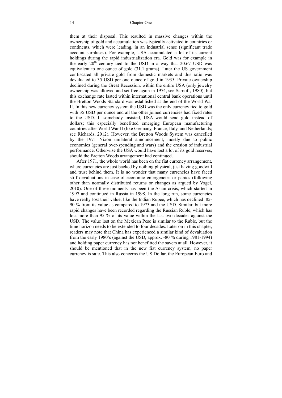them at their disposal. This resulted in massive changes within the ownership of gold and accumulation was typically activated in countries or continents, which were leading, in an industrial sense (significant trade account surpluses). For example, USA accumulated a lot of its current holdings during the rapid industrialization era. Gold was for example in the early  $20<sup>th</sup>$  century tied to the USD in a way that  $20.67$  USD was equivalent to one ounce of gold (31.1 grams). Later the US government confiscated all private gold from domestic markets and this ratio was devaluated to 35 USD per one ounce of gold in 1935. Private ownership declined during the Great Recession, within the entire USA (only jewelry ownership was allowed and set free again in 1974, see Sarnoff, 1980), but this exchange rate lasted within international central bank operations until the Bretton Woods Standard was established at the end of the World War II. In this new currency system the USD was the only currency tied to gold with 35 USD per ounce and all the other joined currencies had fixed rates to the USD. If somebody insisted, USA would send gold instead of dollars; this especially benefitted emerging European manufacturing countries after World War II (like Germany, France, Italy, and Netherlands; see Richards, 2012). However, the Bretton Woods System was cancelled by the 1971 Nixon unilateral announcement, mostly due to public economics (general over-spending and wars) and the erosion of industrial performance. Otherwise the USA would have lost a lot of its gold reserves, should the Bretton Woods arrangement had continued.

After 1971, the whole world has been on the fiat currency arrangement, where currencies are just backed by nothing physical, just having goodwill and trust behind them. It is no wonder that many currencies have faced stiff devaluations in case of economic emergencies or panics (following other than normally distributed returns or changes as argued by Vogel, 2010). One of these moments has been the Asian crisis, which started in 1997 and continued in Russia in 1998. In the long run, some currencies have really lost their value, like the Indian Rupee, which has declined 85- 90 % from its value as compared to 1973 and the USD. Similar, but more rapid changes have been recorded regarding the Russian Ruble, which has lost more than 95 % of its value within the last two decades against the USD. The value lost on the Mexican Peso is similar to the Ruble, but the time horizon needs to be extended to four decades. Later on in this chapter, readers may note that China has experienced a similar kind of devaluation from the early 1980's (against the USD, approx. -80 % during 1981-1994) and holding paper currency has not benefitted the savers at all. However, it should be mentioned that in the new fiat currency system, no paper currency is safe. This also concerns the US Dollar, the European Euro and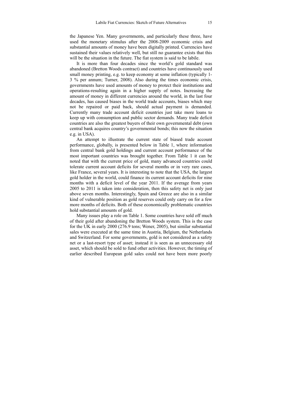the Japanese Yen. Many governments, and particularly these three, have used the monetary stimulus after the 2008-2009 economic crisis and substantial amounts of money have been digitally printed. Currencies have sustained their values relatively well, but still no guarantee exists that this will be the situation in the future. The fiat system is said to be labile.

It is more than four decades since the world's gold standard was abandoned (Bretton Woods contract) and countries have continuously used small money printing, e.g. to keep economy at some inflation (typically 1- 3 % per annum; Turner, 2008). Also during the times economic crisis, governments have used amounts of money to protect their institutions and operations-resulting again in a higher supply of notes. Increasing the amount of money in different currencies around the world, in the last four decades, has caused biases in the world trade accounts, biases which may not be repaired or paid back, should actual payment is demanded. Currently many trade account deficit countries just take more loans to keep up with consumption and public sector demands. Many trade deficit countries are also the greatest buyers of their own governmental debt (own central bank acquires country's governmental bonds; this now the situation e.g. in USA).

An attempt to illustrate the current state of biased trade account performance, globally, is presented below in Table 1, where information from central bank gold holdings and current account performance of the most important countries was brought together. From Table 1 it can be noted that with the current price of gold, many advanced countries could tolerate current account deficits for several months or in very rare cases, like France, several years. It is interesting to note that the USA, the largest gold holder in the world, could finance its current account deficits for nine months with a deficit level of the year 2011. If the average from years 2005 to 2011 is taken into consideration, then this safety net is only just above seven months. Interestingly, Spain and Greece are also in a similar kind of vulnerable position as gold reserves could only carry on for a few more months of deficits. Both of these economically problematic countries hold substantial amounts of gold.

Many issues play a role on Table 1. Some countries have sold off much of their gold after abandoning the Bretton Woods system. This is the case for the UK in early 2000 (276.9 tons; Wener, 2005), but similar substantial sales were executed at the same time in Austria, Belgium, the Netherlands and Switzerland. For some governments, gold is not considered as a safety net or a last-resort type of asset; instead it is seen as an unnecessary old asset, which should be sold to fund other activities. However, the timing of earlier described European gold sales could not have been more poorly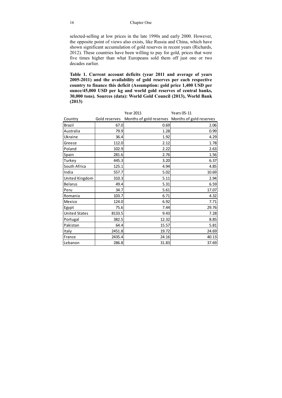selected-selling at low prices in the late 1990s and early 2000. However, the opposite point of views also exists, like Russia and China, which have shown significant accumulation of gold reserves in recent years (Richards, 2012). These countries have been willing to pay for gold, prices that were five times higher than what Europeans sold them off just one or two decades earlier.

**Table 1. Current account deficits (year 2011 and average of years 2005-2011) and the availability of gold reserves per each respective country to finance this deficit (Assumption: gold price 1,400 USD per ounce/45,000 USD per kg and world gold reserves of central banks, 30,000 tons). Sources (data): World Gold Council (2013), World Bank (2013)** 

|                      |               | <b>Year 2011</b>                                | <b>Years 05-11</b> |
|----------------------|---------------|-------------------------------------------------|--------------------|
| Country              | Gold reserves | Months of gold reserves Months of gold reserves |                    |
| <b>Brazil</b>        | 67.0          | 0.69                                            | 2.06               |
| Australia            | 79.9          | 1.28                                            | 0.99               |
| Ukraine              | 36.4          | 1.92                                            | 4.29               |
| Greece               | 112.0         | 2.12                                            | 1.78               |
| Poland               | 102.9         | 2.22                                            | 2.63               |
| Spain                | 281.6         | 2.76                                            | 1.56               |
| Turkey               | 445.3         | 3.20                                            | 6.37               |
| South Africa         | 125.1         | 4.94                                            | 4.85               |
| India                | 557.7         | 5.02                                            | 10.69              |
| United Kingdom       | 310.3         | 5.11                                            | 2.94               |
| <b>Belarus</b>       | 49.4          | 5.31                                            | 6.59               |
| Peru                 | 34.7          | 5.61                                            | 17.07              |
| Romania              | 103.7         | 6.71                                            | 4.32               |
| Mexico               | 124.0         | 6.92                                            | 7.71               |
| Egypt                | 75.6          | 7.44                                            | 29.76              |
| <b>United States</b> | 8133.5        | 9.43                                            | 7.28               |
| Portugal             | 382.5         | 12.32                                           | 8.85               |
| Pakistan             | 64.4          | 15.57                                           | 5.81               |
| Italy                | 2451.8        | 19.72                                           | 24.69              |
| France               | 2435.4        | 24.16                                           | 40.13              |
| Lebanon              | 286.8         | 31.83                                           | 37.69              |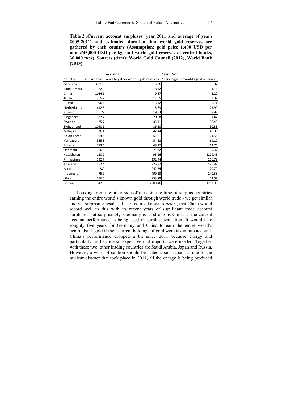**Table 2 . Current account surpluses (year 2011 and average of years 2005-2011) and estimated duration that world gold reserves are gathered by each country (Assumption: gold price 1,400 USD per ounce/45,000 USD per kg, and world gold reserves of central banks, 30,000 tons). Sources (data): World Gold Council (2012), World Bank (2013)** 

|              |        | <b>Year 2011</b>                                    | <b>Years 05-11</b>                    |
|--------------|--------|-----------------------------------------------------|---------------------------------------|
| Country      |        | Gold reserves Years to gather world's gold reserves | Years to gather world's gold reserves |
| Germany      | 3391.3 | 5.36                                                | 5.87                                  |
| Saudi Arabia | 322.9  | 8.42                                                | 14.14                                 |
| China        | 1054.1 | 9.57                                                | 5.20                                  |
| Japan        | 765.2  | 11.05                                               | 7.82                                  |
| Russia       | 996.4  | 13.42                                               | 16.11                                 |
| Netherlands  | 612.5  | 15.63                                               | 23.90                                 |
| Kuwait       | 79     | 19.03                                               | 29.98                                 |
| Singapore    | 127.4  | 20.58                                               | 31.47                                 |
| Sweden       | 125.7  | 35.41                                               | 36.42                                 |
| Switzerland  | 1040.1 | 36.30                                               | 30.35                                 |
| Malaysia     | 36.4   | 42.44                                               | 45.88                                 |
| South Korea  | 104.4  | 51.61                                               | 64.54                                 |
| Venezuela    | 365.8  | 54.68                                               | 69.10                                 |
| Algeria      | 173.6  | 68.17                                               | 63.74                                 |
| Denmark      | 66.5   | 71.32                                               | 115.37                                |
| Kazakhstan   | 130.9  | 95.26                                               | 1279.45                               |
| Philippines  | 192.7  | 192.44                                              | 216.79                                |
| Thailand     | 152.4  | 226.97                                              | 186.87                                |
| Austria      | 280    | 242.34                                              | 120.70                                |
| Indonesia    | 75.9   | 799.13                                              | 240.38                                |
| Libya        | 116.6  | 953.79                                              | 73.02                                 |
| Bolivia      | 42.3   | 2509.46                                             | 1217.90                               |

Looking from the other side of the coin-the time of surplus countries earning the entire world's known gold through world trade - we get similar and yet surprising results. It is of course known *a priori*, that China would record well in this with its recent years of significant trade account surpluses, but surprisingly, Germany is as strong as China as the current account performance is being used in surplus evaluation. It would take roughly five years for Germany and China to earn the entire world's central bank gold if their current holdings of gold were taken into account. China's performance dropped a bit since 2011 because energy and particularly oil became so expensive that imports were needed. Together with these two, other leading countries are Saudi Arabia, Japan and Russia. However, a word of caution should be stated about Japan, as due to the nuclear disaster that took place in 2011, all the energy is being produced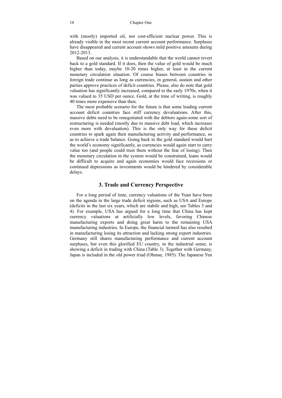with (mostly) imported oil, not cost-efficient nuclear power. This is already visible in the most recent current account performance. Surpluses have disappeared and current account shows mild positive amounts during 2012-2013.

Based on our analysis, it is understandable that the world cannot revert back to a gold standard. If it does, then the value of gold would be much higher than today, maybe 10-20 times higher, at least in the current monetary circulation situation. Of course biases between countries in foreign trade continue as long as currencies, in general, sustain and other parties approve practices of deficit countries. Please, also do note that gold valuation has significantly increased, compared to the early 1970s, when it was valued to 35 USD per ounce. Gold, at the time of writing, is roughly 40 times more expensive than then.

The most probable scenario for the future is that some leading current account deficit countries face stiff currency devaluations. After this, massive debts need to be renegotiated with the debtors again-some sort of restructuring is needed (mostly due to massive debt load, which increases even more with devaluation). This is the only way for these deficit countries to spark again their manufacturing activity and performance, so as to achieve a trade balance. Going back to the gold standard would hurt the world's economy significantly, as currencies would again start to carry value too (and people could trust them without the fear of losing). Then the monetary circulation in the system would be constrained, loans would be difficult to acquire and again economies would face recessions or continued depressions as investments would be hindered by considerable delays.

#### **3. Trade and Currency Perspective**

For a long period of time, currency valuations of the Yuan have been on the agenda in the large trade deficit regions, such as USA and Europe (deficits in the last six years, which are stabile and high, see Tables 3 and 4). For example, USA has argued for a long time that China has kept currency valuations at artificially low levels, favoring Chinese manufacturing exports and doing great harm to the remaining USA manufacturing industries. In Europe, the financial turmoil has also resulted in manufacturing losing its attraction and lacking strong export industries. Germany still shares manufacturing performance and current account surpluses, but even this glorified EU country, in the industrial sense, is showing a deficit in trading with China (Table 3). Together with Germany, Japan is included in the old power triad (Ohmae, 1985). The Japanese Yen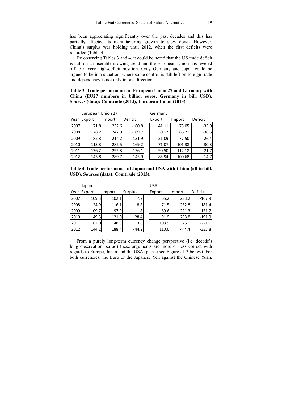has been appreciating significantly over the past decades and this has partially affected its manufacturing growth to slow down. However, China's surplus was holding until 2012, when the first deficits were recorded (Table 4).

By observing Tables 3 and 4, it could be noted that the US trade deficit is still on a miserable growing trend and the European Union has leveled off to a very high-deficit position. Only Germany and Japan could be argued to be in a situation, where some control is still left on foreign trade and dependency is not only in one direction.

**Table 3. Trade performance of European Union 27 and Germany with China (EU27 numbers in billion euros, Germany in bill. USD). Sources (data): Comtrade (2013), European Union (2013)** 

| European Union 27 |        |        |          | Germany |        |         |
|-------------------|--------|--------|----------|---------|--------|---------|
| Year              | Export | Import | Deficit  | Export  | Import | Deficit |
| 2007              | 71.8   | 232.6  | $-160.8$ | 41.11   | 75.05  | $-33.9$ |
| 2008              | 78.2   | 247.9  | $-169.7$ | 50.17   | 86.71  | $-36.5$ |
| 2009              | 82.3   | 214.2  | $-131.9$ | 51.09   | 77.50  | $-26.4$ |
| 2010              | 113.3  | 282.5  | $-169.2$ | 71.07   | 101.38 | $-30.3$ |
| 2011              | 136.2  | 292.3  | $-156.1$ | 90.50   | 112.18 | $-21.7$ |
| 2012              | 143.8  | 289.7  | $-145.9$ | 85.94   | 100.68 | $-14.7$ |

| Table 4. Trade performance of Japan and USA with China (all in bill. |  |  |  |  |
|----------------------------------------------------------------------|--|--|--|--|
| USD). Sources (data): Comtrade (2013).                               |  |  |  |  |

|      | Japan       |        |         | USA    |        |          |
|------|-------------|--------|---------|--------|--------|----------|
|      | Year Export | Import | Surplus | Export | Import | Deficit  |
| 2007 | 109.3       | 102.1  | 7.21    | 65.2   | 233.2  | $-167.9$ |
| 2008 | 124.9       | 116.1  | 8.8     | 71.5   | 252.8  | $-181.4$ |
| 2009 | 109.7       | 97.9   | 11.8    | 69.6   | 221.3  | $-151.7$ |
| 2010 | 149.5       | 121.0  | 28.4    | 91.9   | 283.8  | $-191.9$ |
| 2011 | 162.0       | 148.3  | 13.8    | 103.9  | 325.0  | $-221.1$ |
| 2012 | 144.2       | 188.4  | $-44.2$ | 110.6  | 444.4  | $-333.8$ |

From a purely long-term currency change perspective (i.e. decade's long observation period) these arguments are more or less correct with regards to Europe, Japan and the USA (please see Figures 1-3 below). For both currencies, the Euro or the Japanese Yen against the Chinese Yuan,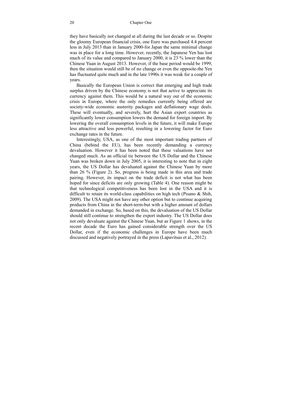they have basically not changed at all during the last decade or so. Despite the gloomy European financial crisis, one Euro was purchased 4.4 percent less in July 2013 than in January 2000-for Japan the same minimal change was in place for a long time. However, recently, the Japanese Yen has lost much of its value and compared to January 2000, it is 23 % lower than the Chinese Yuan in August 2013. However, if the base period would be 1999, then the situation would still be of no change or even the opposite-the Yen has fluctuated quite much and in the late 1990s it was weak for a couple of years.

Basically the European Union is correct that emerging and high trade surplus driven by the Chinese economy is not that active to appreciate its currency against them. This would be a natural way out of the economic crisis in Europe, where the only remedies currently being offered are society-wide economic austerity packages and deflationary wage deals. These will eventually, and severely, hurt the Asian export countries as significantly lower consumption lowers the demand for foreign import. By lowering the overall consumption levels in the future, it will make Europe less attractive and less powerful, resulting in a lowering factor for Euro exchange rates in the future.

Interestingly, USA, as one of the most important trading partners of China (behind the EU), has been recently demanding a currency devaluation. However it has been noted that these valuations have not changed much. As an official tie between the US Dollar and the Chinese Yuan was broken down in July 2005, it is interesting to note that in eight years, the US Dollar has devaluated against the Chinese Yuan by more than 26 % (Figure 2). So, progress is being made in this area and trade pairing. However, its impact on the trade deficit is not what has been hoped for since deficits are only growing (Table 4). One reason might be that technological competitiveness has been lost in the USA and it is difficult to retain its world-class capabilities on high tech (Pisano & Shih, 2009). The USA might not have any other option but to continue acquiring products from China in the short-term-but with a higher amount of dollars demanded in exchange. So, based on this, the devaluation of the US Dollar should still continue to strengthen the export industry. The US Dollar does not only devaluate against the Chinese Yuan, but as Figure 1 shows, in the recent decade the Euro has gained considerable strength over the US Dollar, even if the economic challenges in Europe have been much discussed and negatively portrayed in the press (Lapavitsas et al., 2012).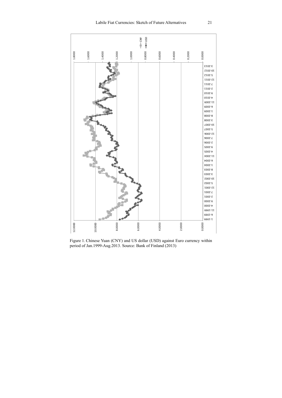

Figure 1. Chinese Yuan (CNY) and US dollar (USD) against Euro currency within period of Jan. 1999-Aug. 2013. Source: Bank of Finland (2013)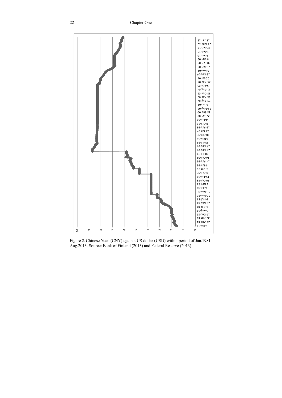

Figure 2. Chinese Yuan (CNY) against US dollar (USD) within period of Jan.1981- Aug.2013. Source: Bank of Finland (2013) and Federal Reserve (2013)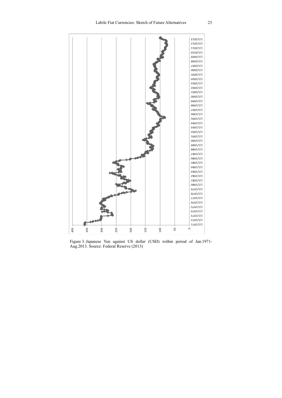

Figure 3. Japanese Yen against US dollar (USD) within period of Jan.1971- Aug.2013. Source: Federal Reserve (2013)